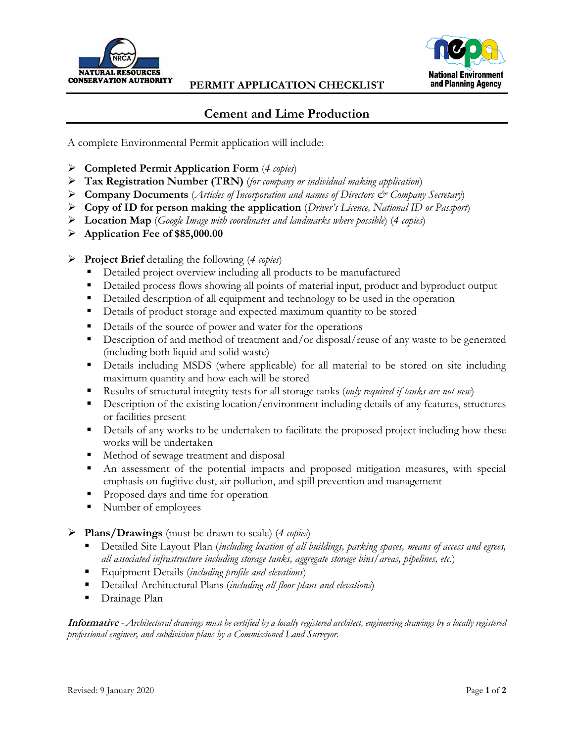

## **PERMIT APPLICATION CHECKLIST**



## **Cement and Lime Production**

A complete Environmental Permit application will include:

- **Completed Permit Application Form** (*4 copies*)
- **Tax Registration Number (TRN)** (*for company or individual making application*)
- **Company Documents** (*Articles of Incorporation and names of Directors & Company Secretary*)
- **Copy of ID for person making the application** (*Driver's Licence, National ID or Passport*)
- **Location Map** (*Google Image with coordinates and landmarks where possible*) (*4 copies*)
- **Application Fee of \$85,000.00**
- **Project Brief** detailing the following (*4 copies*)
	- Detailed project overview including all products to be manufactured
	- Detailed process flows showing all points of material input, product and byproduct output
	- Detailed description of all equipment and technology to be used in the operation
	- Details of product storage and expected maximum quantity to be stored
	- Details of the source of power and water for the operations
	- Description of and method of treatment and/or disposal/reuse of any waste to be generated (including both liquid and solid waste)
	- Details including MSDS (where applicable) for all material to be stored on site including maximum quantity and how each will be stored
	- Results of structural integrity tests for all storage tanks (*only required if tanks are not new*)
	- **Description of the existing location/environment including details of any features, structures** or facilities present
	- **•** Details of any works to be undertaken to facilitate the proposed project including how these works will be undertaken
	- Method of sewage treatment and disposal
	- An assessment of the potential impacts and proposed mitigation measures, with special emphasis on fugitive dust, air pollution, and spill prevention and management
	- Proposed days and time for operation
	- Number of employees
- **Plans/Drawings** (must be drawn to scale) (*4 copies*)
	- Detailed Site Layout Plan (*including location of all buildings, parking spaces, means of access and egrees, all associated infrastructure including storage tanks, aggregate storage bins/areas, pipelines, etc.*)
	- Equipment Details (*including profile and elevations*)
	- Detailed Architectural Plans (*including all floor plans and elevations*)
	- Drainage Plan

**Informative** *- Architectural drawings must be certified by a locally registered architect, engineering drawings by a locally registered professional engineer, and subdivision plans by a Commissioned Land Surveyor.*